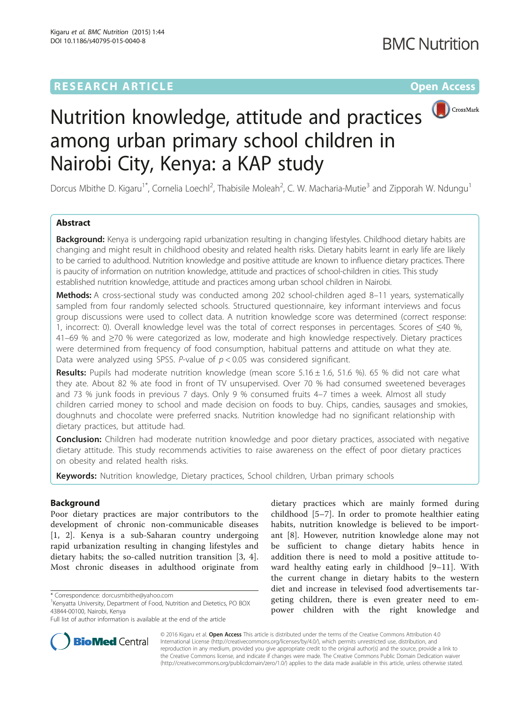# **RESEARCH ARTICLE Example 2018 12:00 Department of the Contract Open Access**



# Nutrition knowledge, attitude and practices among urban primary school children in Nairobi City, Kenya: a KAP study

Dorcus Mbithe D. Kigaru<sup>1\*</sup>, Cornelia Loechl<sup>2</sup>, Thabisile Moleah<sup>2</sup>, C. W. Macharia-Mutie<sup>3</sup> and Zipporah W. Ndungu<sup>1</sup>

# Abstract

**Background:** Kenya is undergoing rapid urbanization resulting in changing lifestyles. Childhood dietary habits are changing and might result in childhood obesity and related health risks. Dietary habits learnt in early life are likely to be carried to adulthood. Nutrition knowledge and positive attitude are known to influence dietary practices. There is paucity of information on nutrition knowledge, attitude and practices of school-children in cities. This study established nutrition knowledge, attitude and practices among urban school children in Nairobi.

Methods: A cross-sectional study was conducted among 202 school-children aged 8-11 years, systematically sampled from four randomly selected schools. Structured questionnaire, key informant interviews and focus group discussions were used to collect data. A nutrition knowledge score was determined (correct response: 1, incorrect: 0). Overall knowledge level was the total of correct responses in percentages. Scores of ≤40 %, 41–69 % and ≥70 % were categorized as low, moderate and high knowledge respectively. Dietary practices were determined from frequency of food consumption, habitual patterns and attitude on what they ate. Data were analyzed using SPSS. P-value of  $p < 0.05$  was considered significant.

**Results:** Pupils had moderate nutrition knowledge (mean score  $5.16 \pm 1.6$ , 51.6 %). 65 % did not care what they ate. About 82 % ate food in front of TV unsupervised. Over 70 % had consumed sweetened beverages and 73 % junk foods in previous 7 days. Only 9 % consumed fruits 4–7 times a week. Almost all study children carried money to school and made decision on foods to buy. Chips, candies, sausages and smokies, doughnuts and chocolate were preferred snacks. Nutrition knowledge had no significant relationship with dietary practices, but attitude had.

**Conclusion:** Children had moderate nutrition knowledge and poor dietary practices, associated with negative dietary attitude. This study recommends activities to raise awareness on the effect of poor dietary practices on obesity and related health risks.

Keywords: Nutrition knowledge, Dietary practices, School children, Urban primary schools

# Background

Poor dietary practices are major contributors to the development of chronic non-communicable diseases [[1, 2\]](#page-7-0). Kenya is a sub-Saharan country undergoing rapid urbanization resulting in changing lifestyles and dietary habits; the so-called nutrition transition [[3, 4](#page-7-0)]. Most chronic diseases in adulthood originate from

dietary practices which are mainly formed during childhood [[5](#page-7-0)–[7\]](#page-7-0). In order to promote healthier eating habits, nutrition knowledge is believed to be important [[8\]](#page-7-0). However, nutrition knowledge alone may not be sufficient to change dietary habits hence in addition there is need to mold a positive attitude toward healthy eating early in childhood [[9](#page-7-0)–[11](#page-7-0)]. With the current change in dietary habits to the western diet and increase in televised food advertisements targeting children, there is even greater need to empower children with the right knowledge and



© 2016 Kigaru et al. Open Access This article is distributed under the terms of the Creative Commons Attribution 4.0 International License [\(http://creativecommons.org/licenses/by/4.0/](http://creativecommons.org/licenses/by/4.0/)), which permits unrestricted use, distribution, and reproduction in any medium, provided you give appropriate credit to the original author(s) and the source, provide a link to the Creative Commons license, and indicate if changes were made. The Creative Commons Public Domain Dedication waiver [\(http://creativecommons.org/publicdomain/zero/1.0/](http://creativecommons.org/publicdomain/zero/1.0/)) applies to the data made available in this article, unless otherwise stated.

<sup>\*</sup> Correspondence: [dorcusmbithe@yahoo.com](mailto:dorcusmbithe@yahoo.com) <sup>1</sup>

<sup>&</sup>lt;sup>1</sup> Kenyatta University, Department of Food, Nutrition and Dietetics, PO BOX 43844-00100, Nairobi, Kenya

Full list of author information is available at the end of the article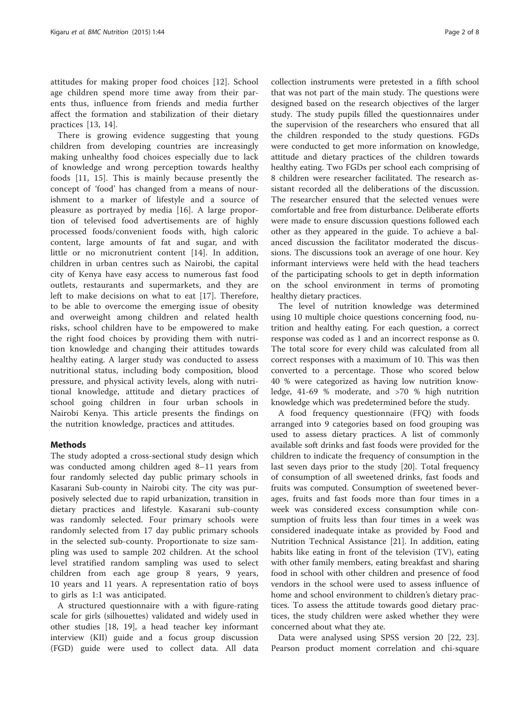attitudes for making proper food choices [[12\]](#page-7-0). School age children spend more time away from their parents thus, influence from friends and media further affect the formation and stabilization of their dietary practices [[13, 14\]](#page-7-0).

There is growing evidence suggesting that young children from developing countries are increasingly making unhealthy food choices especially due to lack of knowledge and wrong perception towards healthy foods [[11](#page-7-0), [15\]](#page-7-0). This is mainly because presently the concept of 'food' has changed from a means of nourishment to a marker of lifestyle and a source of pleasure as portrayed by media [[16\]](#page-7-0). A large proportion of televised food advertisements are of highly processed foods/convenient foods with, high caloric content, large amounts of fat and sugar, and with little or no micronutrient content [[14\]](#page-7-0). In addition, children in urban centres such as Nairobi, the capital city of Kenya have easy access to numerous fast food outlets, restaurants and supermarkets, and they are left to make decisions on what to eat [[17\]](#page-7-0). Therefore, to be able to overcome the emerging issue of obesity and overweight among children and related health risks, school children have to be empowered to make the right food choices by providing them with nutrition knowledge and changing their attitudes towards healthy eating. A larger study was conducted to assess nutritional status, including body composition, blood pressure, and physical activity levels, along with nutritional knowledge, attitude and dietary practices of school going children in four urban schools in Nairobi Kenya. This article presents the findings on the nutrition knowledge, practices and attitudes.

#### Methods

The study adopted a cross-sectional study design which was conducted among children aged 8–11 years from four randomly selected day public primary schools in Kasarani Sub-county in Nairobi city. The city was purposively selected due to rapid urbanization, transition in dietary practices and lifestyle. Kasarani sub-county was randomly selected. Four primary schools were randomly selected from 17 day public primary schools in the selected sub-county. Proportionate to size sampling was used to sample 202 children. At the school level stratified random sampling was used to select children from each age group 8 years, 9 years, 10 years and 11 years. A representation ratio of boys to girls as 1:1 was anticipated.

A structured questionnaire with a with figure-rating scale for girls (silhouettes) validated and widely used in other studies [\[18, 19\]](#page-7-0), a head teacher key informant interview (KII) guide and a focus group discussion (FGD) guide were used to collect data. All data

collection instruments were pretested in a fifth school that was not part of the main study. The questions were designed based on the research objectives of the larger study. The study pupils filled the questionnaires under the supervision of the researchers who ensured that all the children responded to the study questions. FGDs were conducted to get more information on knowledge, attitude and dietary practices of the children towards healthy eating. Two FGDs per school each comprising of 8 children were researcher facilitated. The research assistant recorded all the deliberations of the discussion. The researcher ensured that the selected venues were comfortable and free from disturbance. Deliberate efforts were made to ensure discussion questions followed each other as they appeared in the guide. To achieve a balanced discussion the facilitator moderated the discussions. The discussions took an average of one hour. Key informant interviews were held with the head teachers of the participating schools to get in depth information on the school environment in terms of promoting healthy dietary practices.

The level of nutrition knowledge was determined using 10 multiple choice questions concerning food, nutrition and healthy eating. For each question, a correct response was coded as 1 and an incorrect response as 0. The total score for every child was calculated from all correct responses with a maximum of 10. This was then converted to a percentage. Those who scored below 40 % were categorized as having low nutrition knowledge, 41-69 % moderate, and >70 % high nutrition knowledge which was predetermined before the study.

A food frequency questionnaire (FFQ) with foods arranged into 9 categories based on food grouping was used to assess dietary practices. A list of commonly available soft drinks and fast foods were provided for the children to indicate the frequency of consumption in the last seven days prior to the study [[20](#page-7-0)]. Total frequency of consumption of all sweetened drinks, fast foods and fruits was computed. Consumption of sweetened beverages, fruits and fast foods more than four times in a week was considered excess consumption while consumption of fruits less than four times in a week was considered inadequate intake as provided by Food and Nutrition Technical Assistance [[21\]](#page-7-0). In addition, eating habits like eating in front of the television (TV), eating with other family members, eating breakfast and sharing food in school with other children and presence of food vendors in the school were used to assess influence of home and school environment to children's dietary practices. To assess the attitude towards good dietary practices, the study children were asked whether they were concerned about what they ate.

Data were analysed using SPSS version 20 [\[22](#page-7-0), [23](#page-7-0)]. Pearson product moment correlation and chi-square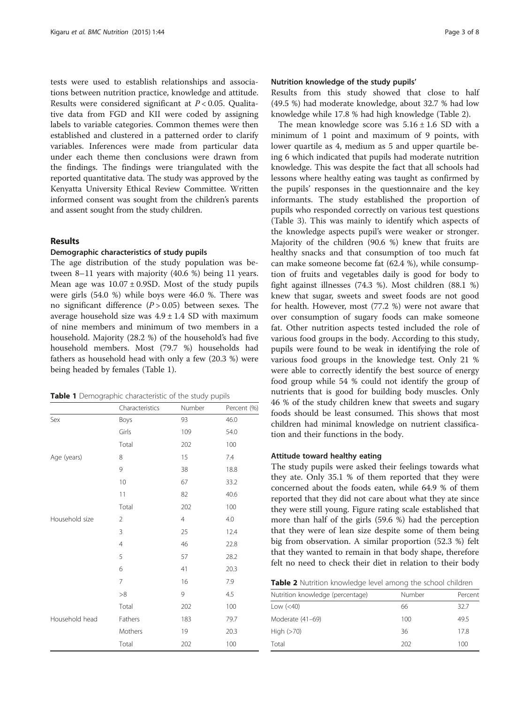tests were used to establish relationships and associations between nutrition practice, knowledge and attitude. Results were considered significant at  $P < 0.05$ . Qualitative data from FGD and KII were coded by assigning labels to variable categories. Common themes were then established and clustered in a patterned order to clarify variables. Inferences were made from particular data under each theme then conclusions were drawn from the findings. The findings were triangulated with the reported quantitative data. The study was approved by the Kenyatta University Ethical Review Committee. Written informed consent was sought from the children's parents and assent sought from the study children.

#### Results

#### Demographic characteristics of study pupils

The age distribution of the study population was between 8–11 years with majority (40.6 %) being 11 years. Mean age was  $10.07 \pm 0.9SD$ . Most of the study pupils were girls (54.0 %) while boys were 46.0 %. There was no significant difference  $(P > 0.05)$  between sexes. The average household size was  $4.9 \pm 1.4$  SD with maximum of nine members and minimum of two members in a household. Majority (28.2 %) of the household's had five household members. Most (79.7 %) households had fathers as household head with only a few (20.3 %) were being headed by females (Table 1).

|  | Table 1 Demographic characteristic of the study pupils |  |  |  |  |
|--|--------------------------------------------------------|--|--|--|--|
|--|--------------------------------------------------------|--|--|--|--|

|                | Characteristics | Number         | Percent (%) |
|----------------|-----------------|----------------|-------------|
| Sex            | Boys            | 93             | 46.0        |
|                | Girls           | 109            | 54.0        |
|                | Total           | 202            | 100         |
| Age (years)    | 8               | 15             | 7.4         |
|                | 9               | 38             | 18.8        |
|                | 10              | 67             | 33.2        |
|                | 11              | 82             | 40.6        |
|                | Total           | 202            | 100         |
| Household size | $\overline{2}$  | $\overline{4}$ | 4.0         |
|                | 3               | 25             | 12.4        |
|                | $\overline{4}$  | 46             | 22.8        |
|                | 5               | 57             | 28.2        |
|                | 6               | 41             | 20.3        |
|                | $\overline{7}$  | 16             | 7.9         |
|                | >8              | 9              | 4.5         |
|                | Total           | 202            | 100         |
| Household head | Fathers         | 183            | 79.7        |
|                | Mothers         | 19             | 20.3        |
|                | Total           | 202            | 100         |

#### Nutrition knowledge of the study pupils'

Results from this study showed that close to half (49.5 %) had moderate knowledge, about 32.7 % had low knowledge while 17.8 % had high knowledge (Table 2).

The mean knowledge score was  $5.16 \pm 1.6$  SD with a minimum of 1 point and maximum of 9 points, with lower quartile as 4, medium as 5 and upper quartile being 6 which indicated that pupils had moderate nutrition knowledge. This was despite the fact that all schools had lessons where healthy eating was taught as confirmed by the pupils' responses in the questionnaire and the key informants. The study established the proportion of pupils who responded correctly on various test questions (Table [3](#page-3-0)). This was mainly to identify which aspects of the knowledge aspects pupil's were weaker or stronger. Majority of the children (90.6 %) knew that fruits are healthy snacks and that consumption of too much fat can make someone become fat (62.4 %), while consumption of fruits and vegetables daily is good for body to fight against illnesses (74.3 %). Most children (88.1 %) knew that sugar, sweets and sweet foods are not good for health. However, most (77.2 %) were not aware that over consumption of sugary foods can make someone fat. Other nutrition aspects tested included the role of various food groups in the body. According to this study, pupils were found to be weak in identifying the role of various food groups in the knowledge test. Only 21 % were able to correctly identify the best source of energy food group while 54 % could not identify the group of nutrients that is good for building body muscles. Only 46 % of the study children knew that sweets and sugary foods should be least consumed. This shows that most children had minimal knowledge on nutrient classification and their functions in the body.

#### Attitude toward healthy eating

The study pupils were asked their feelings towards what they ate. Only 35.1 % of them reported that they were concerned about the foods eaten, while 64.9 % of them reported that they did not care about what they ate since they were still young. Figure rating scale established that more than half of the girls (59.6 %) had the perception that they were of lean size despite some of them being big from observation. A similar proportion (52.3 %) felt that they wanted to remain in that body shape, therefore felt no need to check their diet in relation to their body

| Table 2 Nutrition knowledge level among the school children |  |
|-------------------------------------------------------------|--|
|-------------------------------------------------------------|--|

| Nutrition knowledge (percentage) | Number | Percent |  |
|----------------------------------|--------|---------|--|
| Low $(< 40)$                     | 66     | 327     |  |
| Moderate (41-69)                 | 100    | 49.5    |  |
| High $(>70)$                     | 36     | 17.8    |  |
| Total                            | 202    | 100     |  |
|                                  |        |         |  |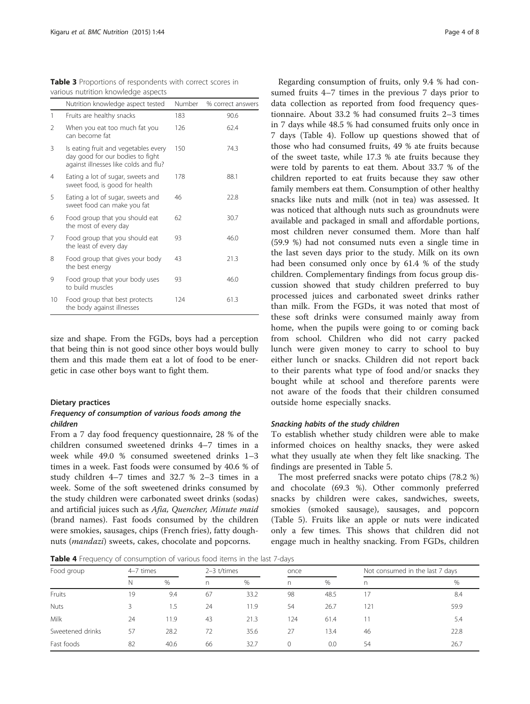<span id="page-3-0"></span>

| Table 3 Proportions of respondents with correct scores in |
|-----------------------------------------------------------|
| various nutrition knowledge aspects                       |

|                | Nutrition knowledge aspect tested                                                                                 | Number | % correct answers |
|----------------|-------------------------------------------------------------------------------------------------------------------|--------|-------------------|
| 1              | Fruits are healthy snacks                                                                                         | 183    | 90.6              |
| $\mathfrak{D}$ | When you eat too much fat you<br>can become fat                                                                   | 126    | 62.4              |
| 3              | Is eating fruit and vegetables every<br>day good for our bodies to fight<br>against illnesses like colds and flu? | 150    | 74.3              |
| 4              | Eating a lot of sugar, sweets and<br>sweet food, is good for health                                               | 178    | 88.1              |
| 5              | Eating a lot of sugar, sweets and<br>sweet food can make you fat                                                  | 46     | 22.8              |
| 6              | Food group that you should eat<br>the most of every day                                                           | 62     | 30.7              |
| 7              | Food group that you should eat<br>the least of every day                                                          | 93     | 46.0              |
| 8              | Food group that gives your body<br>the best energy                                                                | 43     | 21.3              |
| 9              | Food group that your body uses<br>to build muscles                                                                | 93     | 46.0              |
| 10             | Food group that best protects<br>the body against illnesses                                                       | 124    | 61.3              |

size and shape. From the FGDs, boys had a perception that being thin is not good since other boys would bully them and this made them eat a lot of food to be energetic in case other boys want to fight them.

#### Dietary practices

### Frequency of consumption of various foods among the children

From a 7 day food frequency questionnaire, 28 % of the children consumed sweetened drinks 4–7 times in a week while 49.0 % consumed sweetened drinks 1–3 times in a week. Fast foods were consumed by 40.6 % of study children 4–7 times and 32.7 % 2–3 times in a week. Some of the soft sweetened drinks consumed by the study children were carbonated sweet drinks (sodas) and artificial juices such as Afia, Quencher, Minute maid (brand names). Fast foods consumed by the children were smokies, sausages, chips (French fries), fatty doughnuts (*mandazi*) sweets, cakes, chocolate and popcorns.

Regarding consumption of fruits, only 9.4 % had consumed fruits 4–7 times in the previous 7 days prior to data collection as reported from food frequency questionnaire. About 33.2 % had consumed fruits 2–3 times in 7 days while 48.5 % had consumed fruits only once in 7 days (Table 4). Follow up questions showed that of those who had consumed fruits, 49 % ate fruits because of the sweet taste, while 17.3 % ate fruits because they were told by parents to eat them. About 33.7 % of the children reported to eat fruits because they saw other family members eat them. Consumption of other healthy snacks like nuts and milk (not in tea) was assessed. It was noticed that although nuts such as groundnuts were available and packaged in small and affordable portions, most children never consumed them. More than half (59.9 %) had not consumed nuts even a single time in the last seven days prior to the study. Milk on its own had been consumed only once by 61.4 % of the study children. Complementary findings from focus group discussion showed that study children preferred to buy processed juices and carbonated sweet drinks rather than milk. From the FGDs, it was noted that most of these soft drinks were consumed mainly away from home, when the pupils were going to or coming back from school. Children who did not carry packed lunch were given money to carry to school to buy either lunch or snacks. Children did not report back to their parents what type of food and/or snacks they bought while at school and therefore parents were not aware of the foods that their children consumed outside home especially snacks.

#### Snacking habits of the study children

To establish whether study children were able to make informed choices on healthy snacks, they were asked what they usually ate when they felt like snacking. The findings are presented in Table [5](#page-4-0).

The most preferred snacks were potato chips (78.2 %) and chocolate (69.3 %). Other commonly preferred snacks by children were cakes, sandwiches, sweets, smokies (smoked sausage), sausages, and popcorn (Table [5](#page-4-0)). Fruits like an apple or nuts were indicated only a few times. This shows that children did not engage much in healthy snacking. From FGDs, children

Table 4 Frequency of consumption of various food items in the last 7-days

| Food group       | 4-7 times |      | $2-3$ t/times |      | once |      | Not consumed in the last 7 days |      |
|------------------|-----------|------|---------------|------|------|------|---------------------------------|------|
|                  | N         | %    | n             | $\%$ | n    | $\%$ | n                               | %    |
| Fruits           | 19        | 9.4  | 67            | 33.2 | 98   | 48.5 | 17                              | 8.4  |
| <b>Nuts</b>      |           | 1.5  | 24            | 11.9 | 54   | 26.7 | 121                             | 59.9 |
| Milk             | 24        | 11.9 | 43            | 21.3 | 124  | 61.4 |                                 | 5.4  |
| Sweetened drinks | 57        | 28.2 | 72            | 35.6 | 27   | 13.4 | 46                              | 22.8 |
| Fast foods       | 82        | 40.6 | 66            | 32.7 | 0    | 0.0  | 54                              | 26.7 |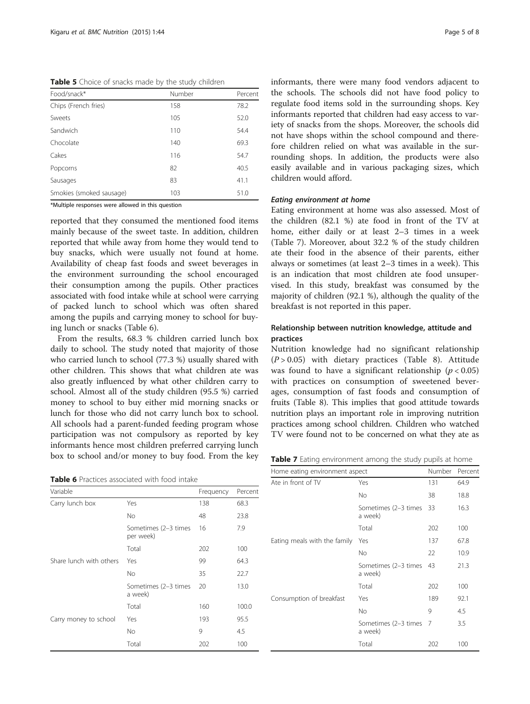<span id="page-4-0"></span>Table 5 Choice of snacks made by the study children

| Food/snack*              | Number | Percent |
|--------------------------|--------|---------|
| Chips (French fries)     | 158    | 78.2    |
| Sweets                   | 105    | 52.0    |
| Sandwich                 | 110    | 54.4    |
| Chocolate                | 140    | 69.3    |
| Cakes                    | 116    | 54.7    |
| Popcorns                 | 82     | 40.5    |
| Sausages                 | 83     | 41.1    |
| Smokies (smoked sausage) | 103    | 51.0    |

\*Multiple responses were allowed in this question

reported that they consumed the mentioned food items mainly because of the sweet taste. In addition, children reported that while away from home they would tend to buy snacks, which were usually not found at home. Availability of cheap fast foods and sweet beverages in the environment surrounding the school encouraged their consumption among the pupils. Other practices associated with food intake while at school were carrying of packed lunch to school which was often shared among the pupils and carrying money to school for buying lunch or snacks (Table 6).

From the results, 68.3 % children carried lunch box daily to school. The study noted that majority of those who carried lunch to school (77.3 %) usually shared with other children. This shows that what children ate was also greatly influenced by what other children carry to school. Almost all of the study children (95.5 %) carried money to school to buy either mid morning snacks or lunch for those who did not carry lunch box to school. All schools had a parent-funded feeding program whose participation was not compulsory as reported by key informants hence most children preferred carrying lunch box to school and/or money to buy food. From the key

| <b>Table 6</b> Practices associated with food intake |
|------------------------------------------------------|
|------------------------------------------------------|

| Variable                |                                   | Frequency | Percent |
|-------------------------|-----------------------------------|-----------|---------|
| Carry lunch box         | Yes                               | 138       | 68.3    |
|                         | <b>No</b>                         | 48        | 23.8    |
|                         | Sometimes (2-3 times<br>per week) | 16        | 7.9     |
|                         | Total                             | 202       | 100     |
| Share lunch with others | Yes                               | 99        | 64.3    |
|                         | <b>No</b>                         | 35        | 22.7    |
|                         | Sometimes (2-3 times<br>a week)   | 20        | 13.0    |
|                         | Total                             | 160       | 100.0   |
| Carry money to school   | Yes                               | 193       | 95.5    |
|                         | <b>No</b>                         | 9         | 4.5     |
|                         | Total                             | 202       | 100     |

informants, there were many food vendors adjacent to the schools. The schools did not have food policy to regulate food items sold in the surrounding shops. Key informants reported that children had easy access to variety of snacks from the shops. Moreover, the schools did not have shops within the school compound and therefore children relied on what was available in the surrounding shops. In addition, the products were also easily available and in various packaging sizes, which children would afford.

#### Eating environment at home

Eating environment at home was also assessed. Most of the children (82.1 %) ate food in front of the TV at home, either daily or at least 2–3 times in a week (Table 7). Moreover, about 32.2 % of the study children ate their food in the absence of their parents, either always or sometimes (at least 2–3 times in a week). This is an indication that most children ate food unsupervised. In this study, breakfast was consumed by the majority of children (92.1 %), although the quality of the breakfast is not reported in this paper.

## Relationship between nutrition knowledge, attitude and practices

Nutrition knowledge had no significant relationship  $(P > 0.05)$  with dietary practices (Table [8\)](#page-5-0). Attitude was found to have a significant relationship ( $p < 0.05$ ) with practices on consumption of sweetened beverages, consumption of fast foods and consumption of fruits (Table [8\)](#page-5-0). This implies that good attitude towards nutrition plays an important role in improving nutrition practices among school children. Children who watched TV were found not to be concerned on what they ate as

Table 7 Eating environment among the study pupils at home

| Home eating environment aspect |                                 | Number | Percent |
|--------------------------------|---------------------------------|--------|---------|
| Ate in front of TV             | Yes                             | 131    | 64.9    |
|                                | No                              | 38     | 18.8    |
|                                | Sometimes (2–3 times<br>a week) | - 33   | 16.3    |
|                                | Total                           | 202    | 100     |
| Eating meals with the family   | Yes                             | 137    | 67.8    |
|                                | No                              | 22     | 10.9    |
|                                | Sometimes (2–3 times<br>a week) | 43     | 21.3    |
|                                | Total                           | 202    | 100     |
| Consumption of breakfast       | Yes                             | 189    | 92.1    |
|                                | No                              | 9      | 4.5     |
|                                | Sometimes (2-3 times<br>a week) | 7      | 3.5     |
|                                | Total                           | 202    | 100     |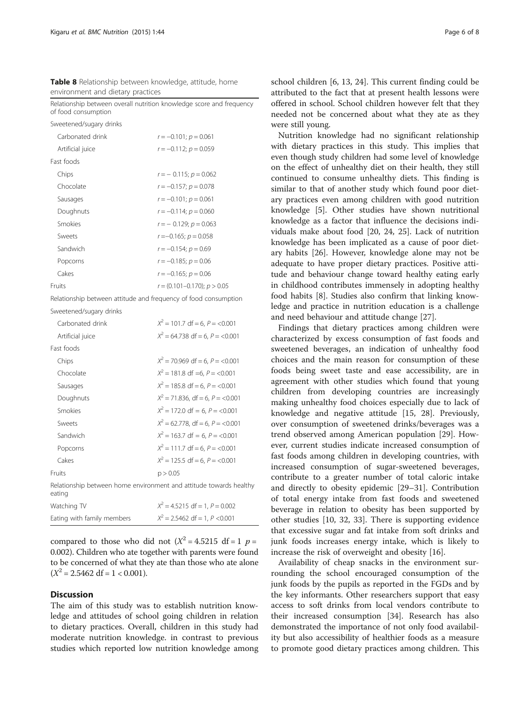<span id="page-5-0"></span>Table 8 Relationship between knowledge, attitude, home environment and dietary practices

| eriviroriment and dietary practices                                                         |                                     |
|---------------------------------------------------------------------------------------------|-------------------------------------|
| Relationship between overall nutrition knowledge score and frequency<br>of food consumption |                                     |
| Sweetened/sugary drinks                                                                     |                                     |
| Carbonated drink                                                                            | $r = -0.101$ ; $p = 0.061$          |
| Artificial juice                                                                            | $r = -0.112$ ; $p = 0.059$          |
| Fast foods                                                                                  |                                     |
| Chips                                                                                       | $r = -0.115$ ; $p = 0.062$          |
| Chocolate                                                                                   | $r = -0.157$ ; $p = 0.078$          |
| Sausages                                                                                    | $r = -0.101$ ; $p = 0.061$          |
| Doughnuts                                                                                   | $r = -0.114$ ; $p = 0.060$          |
| Smokies                                                                                     | $r = -0.129$ ; $p = 0.063$          |
| Sweets                                                                                      | $r = -0.165; p = 0.058$             |
| Sandwich                                                                                    | $r = -0.154$ ; $p = 0.69$           |
| Popcorns                                                                                    | $r = -0.185; p = 0.06$              |
| Cakes                                                                                       | $r = -0.165; p = 0.06$              |
| Fruits                                                                                      | $r = (0.101 - 0.170)$ ; $p > 0.05$  |
| Relationship between attitude and frequency of food consumption                             |                                     |
| Sweetened/sugary drinks                                                                     |                                     |
| Carbonated drink                                                                            | $X^2 = 101.7$ df = 6, P = <0.001    |
| Artificial juice                                                                            | $X^2$ = 64.738 df = 6, P = <0.001   |
| Fast foods                                                                                  |                                     |
| Chips                                                                                       | $X^2$ = 70.969 df = 6, P = <0.001   |
| Chocolate                                                                                   | $X^2 = 181.8$ df =6, P = <0.001     |
| Sausages                                                                                    | $X^2 = 185.8$ df = 6, P = <0.001    |
| Doughnuts                                                                                   | $X^2$ = 71.836, df = 6, P = <0.001  |
| Smokies                                                                                     | $X^2 = 172.0$ df = 6, $P = < 0.001$ |
| Sweets                                                                                      | $X^2$ = 62.778, df = 6, P = <0.001  |
| Sandwich                                                                                    | $X^2 = 163.7$ df = 6, P = <0.001    |
| Popcorns                                                                                    | $X^2 = 111.7$ df = 6, P = <0.001    |
| Cakes                                                                                       | $X^2$ = 125.5 df = 6, P = <0.001    |
| Fruits                                                                                      | p > 0.05                            |
| Relationship between home environment and attitude towards healthy<br>eating                |                                     |
| Watching TV                                                                                 | $X^2 = 4.5215$ df = 1, P = 0.002    |
| Eating with family members                                                                  | $X^2$ = 2.5462 df = 1, P < 0.001    |

compared to those who did not  $(X^2 = 4.5215 \text{ df} = 1 p =$ 0.002). Children who ate together with parents were found to be concerned of what they ate than those who ate alone  $(X^2 = 2.5462 \text{ df} = 1 < 0.001).$ 

#### Discussion

The aim of this study was to establish nutrition knowledge and attitudes of school going children in relation to dietary practices. Overall, children in this study had moderate nutrition knowledge. in contrast to previous studies which reported low nutrition knowledge among school children [[6, 13, 24\]](#page-7-0). This current finding could be attributed to the fact that at present health lessons were offered in school. School children however felt that they needed not be concerned about what they ate as they were still young.

Nutrition knowledge had no significant relationship with dietary practices in this study. This implies that even though study children had some level of knowledge on the effect of unhealthy diet on their health, they still continued to consume unhealthy diets. This finding is similar to that of another study which found poor dietary practices even among children with good nutrition knowledge [\[5](#page-7-0)]. Other studies have shown nutritional knowledge as a factor that influence the decisions individuals make about food [[20](#page-7-0), [24](#page-7-0), [25](#page-7-0)]. Lack of nutrition knowledge has been implicated as a cause of poor dietary habits [[26](#page-7-0)]. However, knowledge alone may not be adequate to have proper dietary practices. Positive attitude and behaviour change toward healthy eating early in childhood contributes immensely in adopting healthy food habits [\[8](#page-7-0)]. Studies also confirm that linking knowledge and practice in nutrition education is a challenge and need behaviour and attitude change [\[27](#page-7-0)].

Findings that dietary practices among children were characterized by excess consumption of fast foods and sweetened beverages, an indication of unhealthy food choices and the main reason for consumption of these foods being sweet taste and ease accessibility, are in agreement with other studies which found that young children from developing countries are increasingly making unhealthy food choices especially due to lack of knowledge and negative attitude [\[15](#page-7-0), [28](#page-7-0)]. Previously, over consumption of sweetened drinks/beverages was a trend observed among American population [[29](#page-7-0)]. However, current studies indicate increased consumption of fast foods among children in developing countries, with increased consumption of sugar-sweetened beverages, contribute to a greater number of total caloric intake and directly to obesity epidemic [[29](#page-7-0)–[31](#page-7-0)]. Contribution of total energy intake from fast foods and sweetened beverage in relation to obesity has been supported by other studies [[10, 32](#page-7-0), [33](#page-7-0)]. There is supporting evidence that excessive sugar and fat intake from soft drinks and junk foods increases energy intake, which is likely to increase the risk of overweight and obesity [[16](#page-7-0)].

Availability of cheap snacks in the environment surrounding the school encouraged consumption of the junk foods by the pupils as reported in the FGDs and by the key informants. Other researchers support that easy access to soft drinks from local vendors contribute to their increased consumption [\[34](#page-7-0)]. Research has also demonstrated the importance of not only food availability but also accessibility of healthier foods as a measure to promote good dietary practices among children. This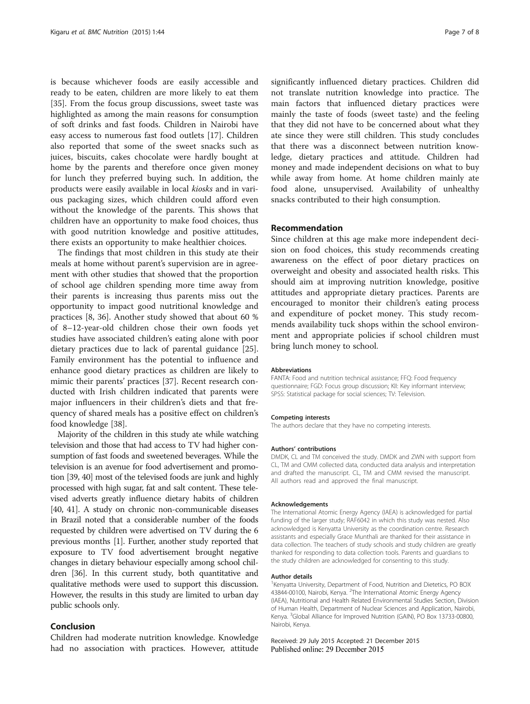is because whichever foods are easily accessible and ready to be eaten, children are more likely to eat them [[35\]](#page-7-0). From the focus group discussions, sweet taste was highlighted as among the main reasons for consumption of soft drinks and fast foods. Children in Nairobi have easy access to numerous fast food outlets [\[17\]](#page-7-0). Children also reported that some of the sweet snacks such as juices, biscuits, cakes chocolate were hardly bought at home by the parents and therefore once given money for lunch they preferred buying such. In addition, the products were easily available in local kiosks and in various packaging sizes, which children could afford even without the knowledge of the parents. This shows that children have an opportunity to make food choices, thus with good nutrition knowledge and positive attitudes, there exists an opportunity to make healthier choices.

The findings that most children in this study ate their meals at home without parent's supervision are in agreement with other studies that showed that the proportion of school age children spending more time away from their parents is increasing thus parents miss out the opportunity to impact good nutritional knowledge and practices [\[8](#page-7-0), [36](#page-7-0)]. Another study showed that about 60 % of 8–12-year-old children chose their own foods yet studies have associated children's eating alone with poor dietary practices due to lack of parental guidance [\[25](#page-7-0)]. Family environment has the potential to influence and enhance good dietary practices as children are likely to mimic their parents' practices [\[37](#page-7-0)]. Recent research conducted with Irish children indicated that parents were major influencers in their children's diets and that frequency of shared meals has a positive effect on children's food knowledge [[38](#page-7-0)].

Majority of the children in this study ate while watching television and those that had access to TV had higher consumption of fast foods and sweetened beverages. While the television is an avenue for food advertisement and promotion [\[39](#page-7-0), [40\]](#page-7-0) most of the televised foods are junk and highly processed with high sugar, fat and salt content. These televised adverts greatly influence dietary habits of children [[40](#page-7-0), [41\]](#page-7-0). A study on chronic non-communicable diseases in Brazil noted that a considerable number of the foods requested by children were advertised on TV during the 6 previous months [[1](#page-7-0)]. Further, another study reported that exposure to TV food advertisement brought negative changes in dietary behaviour especially among school children [\[36\]](#page-7-0). In this current study, both quantitative and qualitative methods were used to support this discussion. However, the results in this study are limited to urban day public schools only.

#### Conclusion

Children had moderate nutrition knowledge. Knowledge had no association with practices. However, attitude significantly influenced dietary practices. Children did not translate nutrition knowledge into practice. The main factors that influenced dietary practices were mainly the taste of foods (sweet taste) and the feeling that they did not have to be concerned about what they ate since they were still children. This study concludes that there was a disconnect between nutrition knowledge, dietary practices and attitude. Children had money and made independent decisions on what to buy while away from home. At home children mainly ate food alone, unsupervised. Availability of unhealthy snacks contributed to their high consumption.

#### Recommendation

Since children at this age make more independent decision on food choices, this study recommends creating awareness on the effect of poor dietary practices on overweight and obesity and associated health risks. This should aim at improving nutrition knowledge, positive attitudes and appropriate dietary practices. Parents are encouraged to monitor their children's eating process and expenditure of pocket money. This study recommends availability tuck shops within the school environment and appropriate policies if school children must bring lunch money to school.

#### Abbreviations

FANTA: Food and nutrition technical assistance; FFQ: Food frequency questionnaire; FGD: Focus group discussion; KII: Key informant interview; SPSS: Statistical package for social sciences; TV: Television.

#### Competing interests

The authors declare that they have no competing interests.

#### Authors' contributions

DMDK, CL and TM conceived the study. DMDK and ZWN with support from CL, TM and CMM collected data, conducted data analysis and interpretation and drafted the manuscript. CL, TM and CMM revised the manuscript. All authors read and approved the final manuscript.

#### Acknowledgements

The International Atomic Energy Agency (IAEA) is acknowledged for partial funding of the larger study; RAF6042 in which this study was nested. Also acknowledged is Kenyatta University as the coordination centre. Research assistants and especially Grace Munthali are thanked for their assistance in data collection. The teachers of study schools and study children are greatly thanked for responding to data collection tools. Parents and guardians to the study children are acknowledged for consenting to this study.

#### Author details

<sup>1</sup> Kenyatta University, Department of Food, Nutrition and Dietetics, PO BOX 43844-00100, Nairobi, Kenya. <sup>2</sup>The International Atomic Energy Agency (IAEA), Nutritional and Health Related Environmental Studies Section, Division of Human Health, Department of Nuclear Sciences and Application, Nairobi, Kenya. <sup>3</sup>Global Alliance for Improved Nutrition (GAIN), PO Box 13733-00800 Nairobi, Kenya.

Received: 29 July 2015 Accepted: 21 December 2015 Published online: 29 December 2015